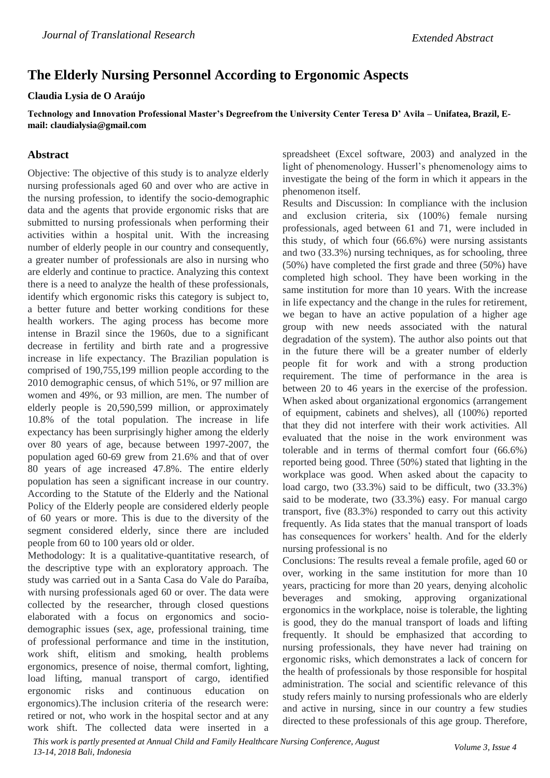## **The Elderly Nursing Personnel According to Ergonomic Aspects**

## **Claudia Lysia de O Araújo**

**Technology and Innovation Professional Master's Degreefrom the University Center Teresa D' Avila – Unifatea, Brazil, Email: claudialysia@gmail.com**

## **Abstract**

Objective: The objective of this study is to analyze elderly nursing professionals aged 60 and over who are active in the nursing profession, to identify the socio-demographic data and the agents that provide ergonomic risks that are submitted to nursing professionals when performing their activities within a hospital unit. With the increasing number of elderly people in our country and consequently, a greater number of professionals are also in nursing who are elderly and continue to practice. Analyzing this context there is a need to analyze the health of these professionals, identify which ergonomic risks this category is subject to, a better future and better working conditions for these health workers. The aging process has become more intense in Brazil since the 1960s, due to a significant decrease in fertility and birth rate and a progressive increase in life expectancy. The Brazilian population is comprised of 190,755,199 million people according to the 2010 demographic census, of which 51%, or 97 million are women and 49%, or 93 million, are men. The number of elderly people is 20,590,599 million, or approximately 10.8% of the total population. The increase in life expectancy has been surprisingly higher among the elderly over 80 years of age, because between 1997-2007, the population aged 60-69 grew from 21.6% and that of over 80 years of age increased 47.8%. The entire elderly population has seen a significant increase in our country. According to the Statute of the Elderly and the National Policy of the Elderly people are considered elderly people of 60 years or more. This is due to the diversity of the segment considered elderly, since there are included people from 60 to 100 years old or older.

Methodology: It is a qualitative-quantitative research, of the descriptive type with an exploratory approach. The study was carried out in a Santa Casa do Vale do Paraíba, with nursing professionals aged 60 or over. The data were collected by the researcher, through closed questions elaborated with a focus on ergonomics and sociodemographic issues (sex, age, professional training, time of professional performance and time in the institution, work shift, elitism and smoking, health problems ergonomics, presence of noise, thermal comfort, lighting, load lifting, manual transport of cargo, identified ergonomic risks and continuous education on ergonomics).The inclusion criteria of the research were: retired or not, who work in the hospital sector and at any work shift. The collected data were inserted in a

spreadsheet (Excel software, 2003) and analyzed in the light of phenomenology. Husserl's phenomenology aims to investigate the being of the form in which it appears in the phenomenon itself.

Results and Discussion: In compliance with the inclusion and exclusion criteria, six (100%) female nursing professionals, aged between 61 and 71, were included in this study, of which four (66.6%) were nursing assistants and two (33.3%) nursing techniques, as for schooling, three (50%) have completed the first grade and three (50%) have completed high school. They have been working in the same institution for more than 10 years. With the increase in life expectancy and the change in the rules for retirement, we began to have an active population of a higher age group with new needs associated with the natural degradation of the system). The author also points out that in the future there will be a greater number of elderly people fit for work and with a strong production requirement. The time of performance in the area is between 20 to 46 years in the exercise of the profession. When asked about organizational ergonomics (arrangement of equipment, cabinets and shelves), all (100%) reported that they did not interfere with their work activities. All evaluated that the noise in the work environment was tolerable and in terms of thermal comfort four (66.6%) reported being good. Three (50%) stated that lighting in the workplace was good. When asked about the capacity to load cargo, two (33.3%) said to be difficult, two (33.3%) said to be moderate, two (33.3%) easy. For manual cargo transport, five (83.3%) responded to carry out this activity frequently. As Iida states that the manual transport of loads has consequences for workers' health. And for the elderly nursing professional is no

Conclusions: The results reveal a female profile, aged 60 or over, working in the same institution for more than 10 years, practicing for more than 20 years, denying alcoholic beverages and smoking, approving organizational ergonomics in the workplace, noise is tolerable, the lighting is good, they do the manual transport of loads and lifting frequently. It should be emphasized that according to nursing professionals, they have never had training on ergonomic risks, which demonstrates a lack of concern for the health of professionals by those responsible for hospital administration. The social and scientific relevance of this study refers mainly to nursing professionals who are elderly and active in nursing, since in our country a few studies directed to these professionals of this age group. Therefore,